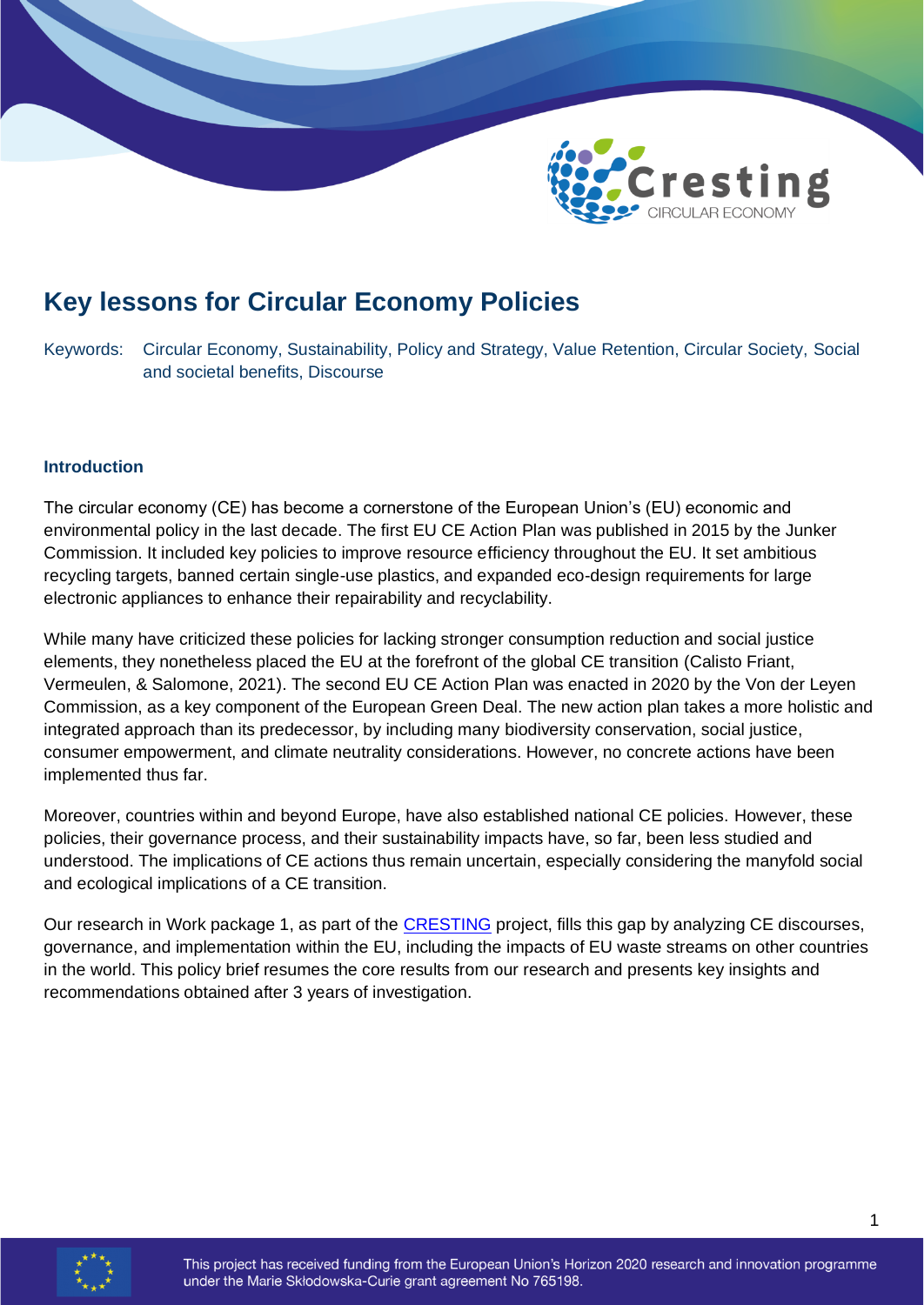

# **Key lessons for Circular Economy Policies**

Keywords: Circular Economy, Sustainability, Policy and Strategy, Value Retention, Circular Society, Social and societal benefits, Discourse

#### **Introduction**

The circular economy (CE) has become a cornerstone of the European Union's (EU) economic and environmental policy in the last decade. The first EU CE Action Plan was published in 2015 by the Junker Commission. It included key policies to improve resource efficiency throughout the EU. It set ambitious recycling targets, banned certain single-use plastics, and expanded eco-design requirements for large electronic appliances to enhance their repairability and recyclability.

While many have criticized these policies for lacking stronger consumption reduction and social justice elements, they nonetheless placed the EU at the forefront of the global CE transition (Calisto Friant, Vermeulen, & Salomone, 2021). The second EU CE Action Plan was enacted in 2020 by the Von der Leyen Commission, as a key component of the European Green Deal. The new action plan takes a more holistic and integrated approach than its predecessor, by including many biodiversity conservation, social justice, consumer empowerment, and climate neutrality considerations. However, no concrete actions have been implemented thus far.

Moreover, countries within and beyond Europe, have also established national CE policies. However, these policies, their governance process, and their sustainability impacts have, so far, been less studied and understood. The implications of CE actions thus remain uncertain, especially considering the manyfold social and ecological implications of a CE transition.

Our research in Work package 1, as part of the [CRESTING](https://cresting.hull.ac.uk/work-packages/1-assessing-ce-practices-discourse/) project, fills this gap by analyzing CE discourses, governance, and implementation within the EU, including the impacts of EU waste streams on other countries in the world. This policy brief resumes the core results from our research and presents key insights and recommendations obtained after 3 years of investigation.

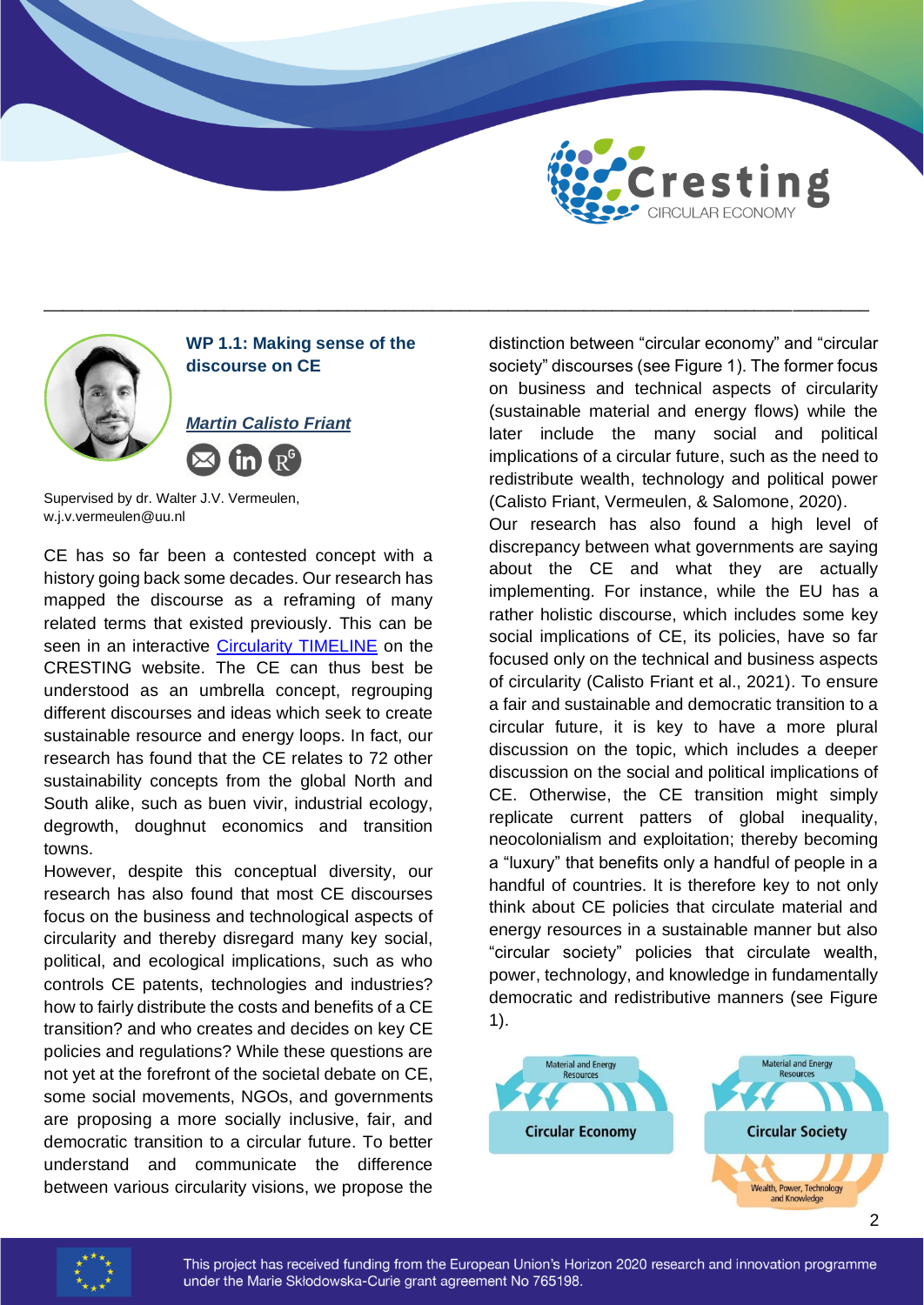



\_\_\_\_\_\_\_\_\_\_\_\_\_\_\_\_\_\_\_\_\_\_\_\_\_\_\_\_\_\_\_\_\_\_\_\_\_\_\_\_\_\_\_\_\_\_\_\_\_\_\_\_\_\_\_\_\_\_\_\_\_\_\_\_\_\_\_\_\_\_\_\_\_\_\_\_\_\_\_\_\_\_\_\_\_\_\_

Supervised by dr. Walter J.V. Vermeulen, w.j.v.vermeulen@uu.nl

CE has so far been a contested concept with a history going back some decades. Our research has mapped the discourse as a reframing of many related terms that existed previously. This can be seen in an interactive [Circularity TIMELINE](https://cresting.hull.ac.uk/impact/circularity-timeline/) on the CRESTING website. The CE can thus best be understood as an umbrella concept, regrouping different discourses and ideas which seek to create sustainable resource and energy loops. In fact, our research has found that the CE relates to 72 other sustainability concepts from the global North and South alike, such as buen vivir, industrial ecology, degrowth, doughnut economics and transition towns.

However, despite this conceptual diversity, our research has also found that most CE discourses focus on the business and technological aspects of circularity and thereby disregard many key social, political, and ecological implications, such as who controls CE patents, technologies and industries? how to fairly distribute the costs and benefits of a CE transition? and who creates and decides on key CE policies and regulations? While these questions are not yet at the forefront of the societal debate on CE, some social movements, NGOs, and governments are proposing a more socially inclusive, fair, and democratic transition to a circular future. To better understand and communicate the difference between various circularity visions, we propose the

distinction between "circular economy" and "circular society" discourses (see Figure 1). The former focus on business and technical aspects of circularity (sustainable material and energy flows) while the later include the many social and political implications of a circular future, such as the need to redistribute wealth, technology and political power (Calisto Friant, Vermeulen, & Salomone, 2020).

Our research has also found a high level of discrepancy between what governments are saying about the CE and what they are actually implementing. For instance, while the EU has a rather holistic discourse, which includes some key social implications of CE, its policies, have so far focused only on the technical and business aspects of circularity (Calisto Friant et al., 2021). To ensure a fair and sustainable and democratic transition to a circular future, it is key to have a more plural discussion on the topic, which includes a deeper discussion on the social and political implications of CE. Otherwise, the CE transition might simply replicate current patters of global inequality, neocolonialism and exploitation; thereby becoming a "luxury" that benefits only a handful of people in a handful of countries. It is therefore key to not only think about CE policies that circulate material and energy resources in a sustainable manner but also "circular society" policies that circulate wealth, power, technology, and knowledge in fundamentally democratic and redistributive manners (see Figure 1).



 $\overline{2}$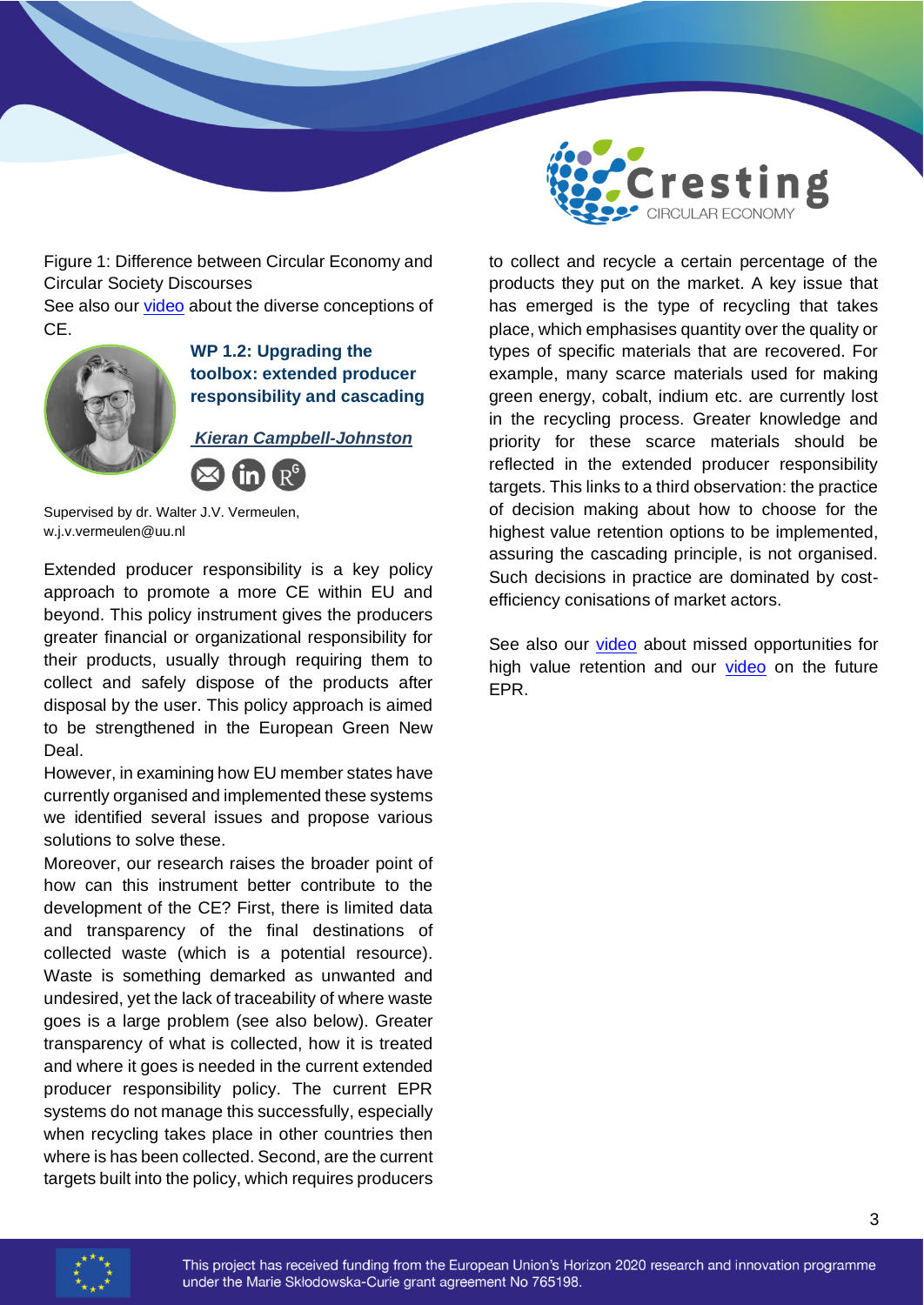

Figure 1: Difference between Circular Economy and Circular Society Discourses

See also our [video](https://youtu.be/FaipZCzSvj0) about the diverse conceptions of CE.



## **WP 1.2: Upgrading the toolbox: extended producer responsibility and cascading**

*Kieran Campbell-Johnston*

Supervised by dr. Walter J.V. Vermeulen, w.j.v.vermeulen@uu.nl

Extended producer responsibility is a key policy approach to promote a more CE within EU and beyond. This policy instrument gives the producers greater financial or organizational responsibility for their products, usually through requiring them to collect and safely dispose of the products after disposal by the user. This policy approach is aimed to be strengthened in the European Green New Deal.

However, in examining how EU member states have currently organised and implemented these systems we identified several issues and propose various solutions to solve these.

Moreover, our research raises the broader point of how can this instrument better contribute to the development of the CE? First, there is limited data and transparency of the final destinations of collected waste (which is a potential resource). Waste is something demarked as unwanted and undesired, yet the lack of traceability of where waste goes is a large problem (see also below). Greater transparency of what is collected, how it is treated and where it goes is needed in the current extended producer responsibility policy. The current EPR systems do not manage this successfully, especially when recycling takes place in other countries then where is has been collected. Second, are the current targets built into the policy, which requires producers

to collect and recycle a certain percentage of the products they put on the market. A key issue that has emerged is the type of recycling that takes place, which emphasises quantity over the quality or types of specific materials that are recovered. For example, many scarce materials used for making green energy, cobalt, indium etc. are currently lost in the recycling process. Greater knowledge and priority for these scarce materials should be reflected in the extended producer responsibility targets. This links to a third observation: the practice of decision making about how to choose for the highest value retention options to be implemented, assuring the cascading principle, is not organised. Such decisions in practice are dominated by costefficiency conisations of market actors.

See also our [video](https://youtu.be/brMxcEbu43c) about missed opportunities for high value retention and our [video](https://youtu.be/SLuBuX2QYEc) on the future EPR.

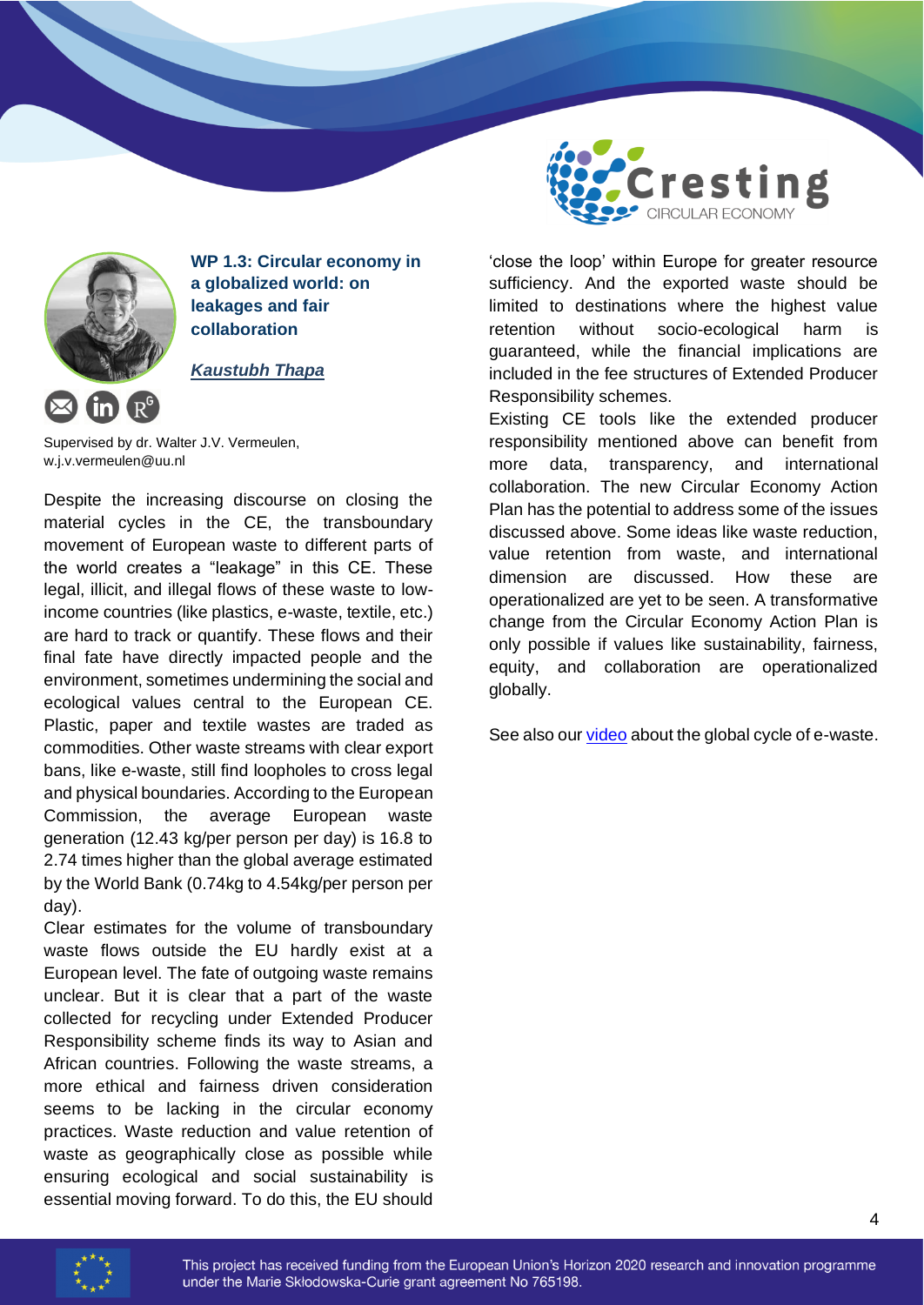

**WP 1.3: Circular economy in a globalized world: on leakages and fair collaboration**

#### *Kaustubh Thapa*

Supervised by dr. Walter J.V. Vermeulen, w.j.v.vermeulen@uu.nl

Despite the increasing discourse on closing the material cycles in the CE, the transboundary movement of European waste to different parts of the world creates a "leakage" in this CE. These legal, illicit, and illegal flows of these waste to lowincome countries (like plastics, e-waste, textile, etc.) are hard to track or quantify. These flows and their final fate have directly impacted people and the environment, sometimes undermining the social and ecological values central to the European CE. Plastic, paper and textile wastes are traded as commodities. Other waste streams with clear export bans, like e-waste, still find loopholes to cross legal and physical boundaries. According to the European Commission, the average European waste generation (12.43 kg/per person per day) is 16.8 to 2.74 times higher than the global average estimated by the World Bank (0.74kg to 4.54kg/per person per day).

Clear estimates for the volume of transboundary waste flows outside the EU hardly exist at a European level. The fate of outgoing waste remains unclear. But it is clear that a part of the waste collected for recycling under Extended Producer Responsibility scheme finds its way to Asian and African countries. Following the waste streams, a more ethical and fairness driven consideration seems to be lacking in the circular economy practices. Waste reduction and value retention of waste as geographically close as possible while ensuring ecological and social sustainability is essential moving forward. To do this, the EU should



'close the loop' within Europe for greater resource sufficiency. And the exported waste should be limited to destinations where the highest value retention without socio-ecological harm is guaranteed, while the financial implications are included in the fee structures of Extended Producer Responsibility schemes.

Existing CE tools like the extended producer responsibility mentioned above can benefit from more data, transparency, and international collaboration. The new Circular Economy Action Plan has the potential to address some of the issues discussed above. Some ideas like waste reduction, value retention from waste, and international dimension are discussed. How these are operationalized are yet to be seen. A transformative change from the Circular Economy Action Plan is only possible if values like sustainability, fairness, equity, and collaboration are operationalized globally.

See also our *video* about the global cycle of e-waste.